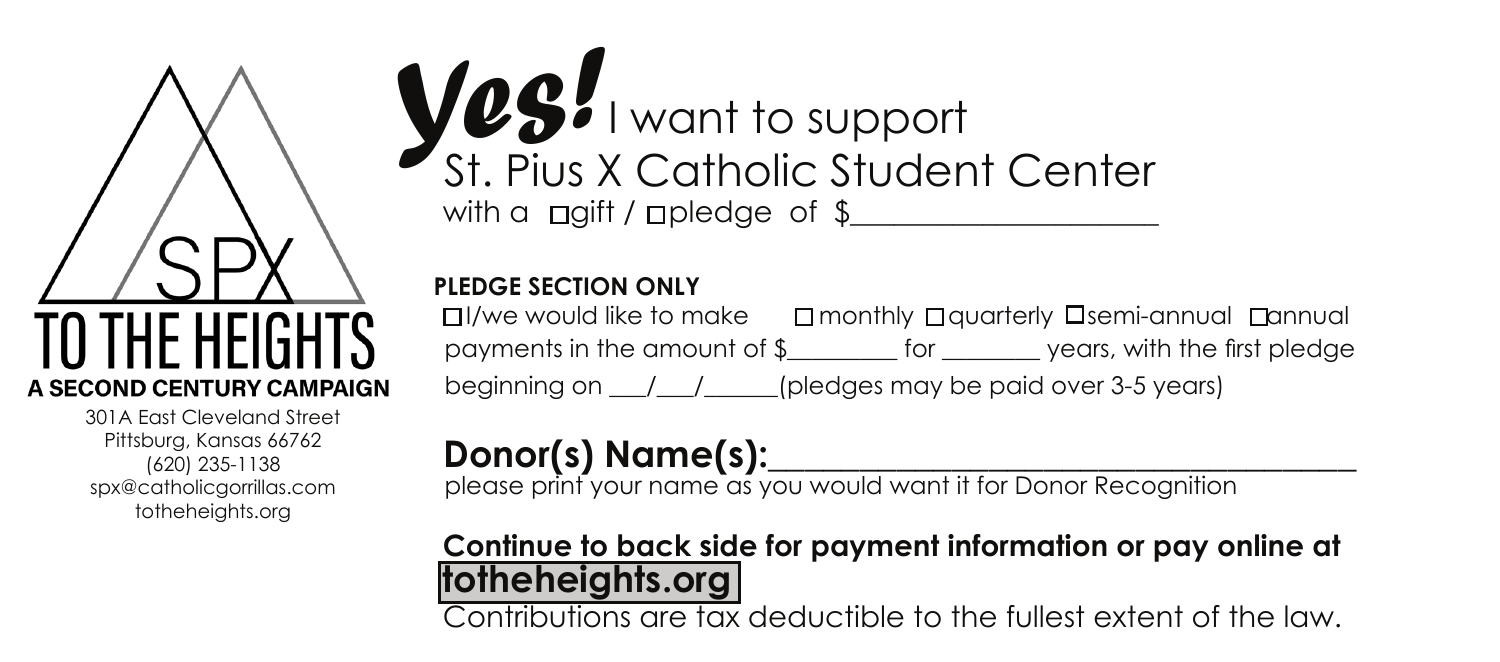A SECOND CENTURY CAMPAIGN

301A East Cleveland Street Pittsburg, Kansas 66762 (620) 235-1138 spx@catholicgorrillas.com totheheights.org

## with a  $\Box$ gift /  $\Box$ pledge of \$ *Yes!* I want to support St. Pius X Catholic Student Center

#### **PLEDGE SECTION ONLY**

 $\Box$ /we would like to make  $\Box$  monthly  $\Box$  quarterly  $\Box$  semi-annual  $\Box$  annual payments in the amount of \$\_\_\_\_\_\_\_\_\_ for \_\_\_\_\_\_\_\_ years, with the first pledge beginning on  $\angle$   $\angle$   $\angle$   $\angle$   $\angle$   $\angle$  (pledges may be paid over 3-5 years)

### Donor(s) Name(s):

please print your name as you would want it for Donor Recognition

#### **Continue to back side for payment information or pay online at totheheights.org**

Contributions are tax deductible to the fullest extent of the law.